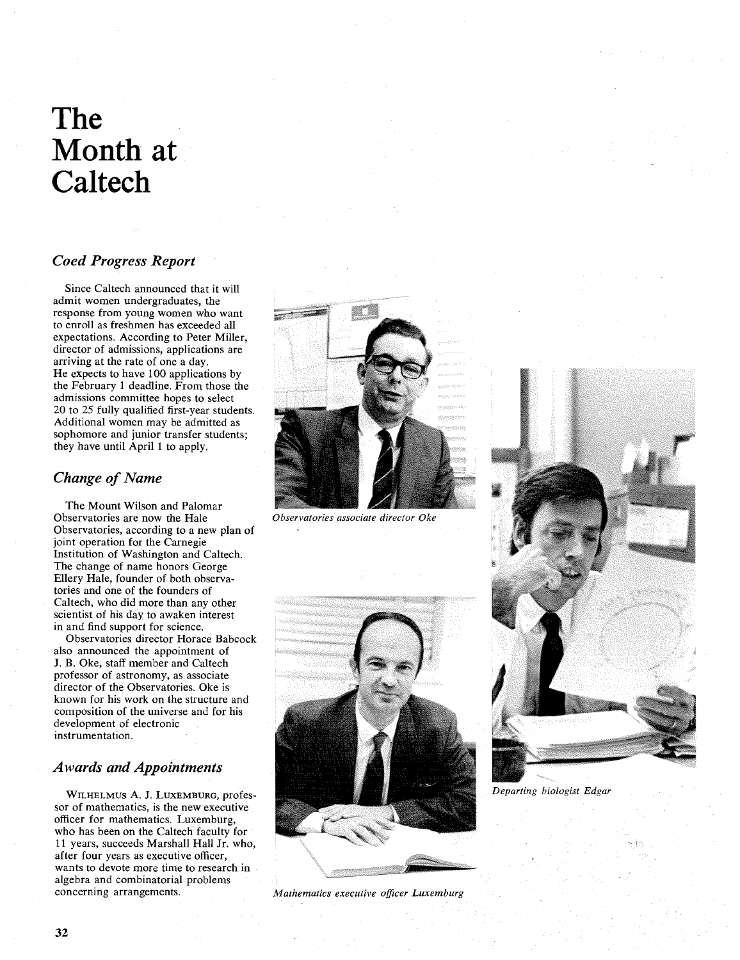# **The Month at Caltech**

# *Coed Progress Report*

Since Caltech announced that it will admit women undergraduates, the response from young women who want to enroll as freshmen has exceeded all expectations. According to Peter Miller, director of admissions, applications are arriving at the rate of one a day. He expects to have 100 applications by the February 1 deadline. From those the admissions committee hopes to select 20 to 25 fully qualified first-year students. Additional women may be admitted as sophomore and junior transfer students; they have until April 1 to apply.

## *Change of Name*

The Mount Wilson and Palomar Observatories are now the Hale Observatories, according to a new plan of joint operation for the Carnegie Institution of Washington and Caltech. The change of name honors George Ellery Hale, founder of both observatories and one of the founders of Caltech, who did more than any other scientist of his day to awaken interest in and find support for science.

Observatories director Horace Babcock also announced the appointment of J. **B.** Oke, staff member and Caltech professor of astronomy, as associate director of the Observatories. Oke is known for his work on the structure and composition of the universe and for his development of electronic instrumentation.

### *Awards and Appointments*

WILHELMUS A. J. LUXEMBURG, professor of mathematics, is the new executive officer for mathematics. Luxemburg, who has been on the Caltech faculty for 11 years, succeeds Marshall Hall Jr. who, after four years as executive officer, wants to devote more time to research in algebra and combinatorial problems



Observatories associate director Oke



Mathematics executive officer Luxemburg



*Departing biologist Edgar*